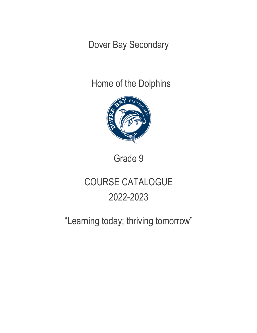Dover Bay Secondary

Home of the Dolphins



Grade 9

# COURSE CATALOGUE 2022-2023

# "Learning today; thriving tomorrow"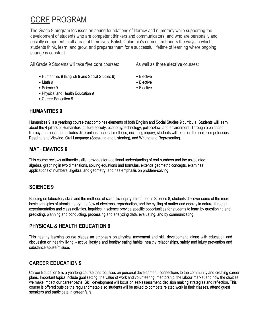# CORE PROGRAM

The Grade 9 program focusses on sound foundations of literacy and numeracy while supporting the development of students who are competent thinkers and communicators, and who are personally and socially competent in all areas of their lives. British Columbia's curriculum honors the ways in which students think, learn, and grow, and prepares them for a successful lifetime of learning where ongoing change is constant.

All Grade 9 Students will take **five core** courses: As well as **three elective** courses:

- Humanities 9 (English 9 and Social Studies 9) Elective
- Math 9 **Elective**
- Science 9 Elective
- Physical and Health Education 9
- Career Education 9

#### **HUMANITIES 9**

Humanities 9 is a yearlong course that combines elements of both English and Social Studies 9 curricula. Students will learn about the 4 pillars of Humanities: culture/society, economy/technology, politics/law, and environment. Through a balanced literacy approach that includes different instructional methods, including inquiry, students will focus on the core competencies: Reading and Viewing, Oral Language (Speaking and Listening), and Writing and Representing.

#### **MATHEMATICS 9**

This course reviews arithmetic skills, provides for additional understanding of real numbers and the associated algebra, graphing in two dimensions, solving equations and formulas, extends geometric concepts, examines applications of numbers, algebra, and geometry, and has emphasis on problem-solving.

# **SCIENCE 9**

Building on laboratory skills and the methods of scientific inquiry introduced in Science 8, students discover some of the more basic principles of atomic theory, the flow of electrons, reproduction, and the cycling of matter and energy in nature, through experimentation and class activities. Inquiries in science provide specific opportunities for students to learn by questioning and predicting, planning and conducting, processing and analyzing data, evaluating, and by communicating.

# **PHYSICAL & HEALTH EDUCATION 9**

This healthy learning course places an emphasis on physical movement and skill development, along with education and discussion on healthy living – active lifestyle and healthy eating habits, healthy relationships, safety and injury prevention and substance abuse/misuse.

# **CAREER EDUCATION 9**

Career Education 9 is a yearlong course that focusses on personal development, connections to the community and creating career plans. Important topics include goal setting, the value of work and volunteering, mentorship, the labour market and how the choices we make impact our career paths. Skill development will focus on self-assessment, decision making strategies and reflection. This course is offered outside the regular timetable so students will be asked to compete related work in their classes, attend guest speakers and participate in career fairs.

- 
- 
- 
-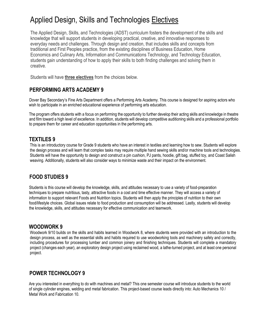# Applied Design, Skills and Technologies Electives

The Applied Design, Skills, and Technologies (ADST) curriculum fosters the development of the skills and knowledge that will support students in developing practical, creative, and innovative responses to everyday needs and challenges. Through design and creation, that includes skills and concepts from traditional and First Peoples practice, from the existing disciplines of Business Education, Home Economics and Culinary Arts, Information and Communications Technology, and Technology Education, students gain understanding of how to apply their skills to both finding challenges and solving them in creative.

Students will have **three electives** from the choices below.

# **PERFORMING ARTS ACADEMY 9**

Dover Bay Secondary's Fine Arts Department offers a Performing Arts Academy. This course is designed for aspiring actors who wish to participate in an enriched educational experience of performing arts education.

The program offers students with a focus on performing the opportunity to further develop their acting skills and knowledge in theatre and film toward a high level of excellence. In addition, students will develop competitive auditioning skills and a professional portfolio to prepare them for career and education opportunities in the performing arts.

## **TEXTILES 9**

This is an introductory course for Grade 9 students who have an interest in textiles and learning how to sew. Students will explore the design process and will learn that complex tasks may require multiple hand sewing skills and/or machine tools and technologies. Students will have the opportunity to design and construct a pin cushion, PJ pants, hoodie, gift bag, stuffed toy, and Coast Salish weaving. Additionally, students will also consider ways to minimize waste and their impact on the environment.

#### **FOOD STUDIES 9**

Students is this course will develop the knowledge, skills, and attitudes necessary to use a variety of food-preparation techniques to prepare nutritious, tasty, attractive foods in a cost and time effective manner. They will access a variety of information to support relevant Foods and Nutrition topics. Students will then apply the principles of nutrition to their own food/lifestyle choices. Global issues relate to food production and consumption will be addressed. Lastly, students will develop the knowledge, skills, and attitudes necessary for effective communication and teamwork.

#### **WOODWORK 9**

Woodwork 9/10 builds on the skills and habits learned in Woodwork 8, where students were provided with an introduction to the design process, as well as the essential skills and habits required to use woodworking tools and machinery safely and correctly, including procedures for processing lumber and common joinery and finishing techniques. Students will complete a mandatory project (changes each year), an exploratory design project using reclaimed wood, a lathe-turned project, and at least one personal project.

#### **POWER TECHNOLOGY 9**

Are you interested in everything to do with machines and metal? This one semester course will introduce students to the world of single cylinder engines, welding and metal fabrication. This project-based course leads directly into: Auto Mechanics 10 / Metal Work and Fabrication 10.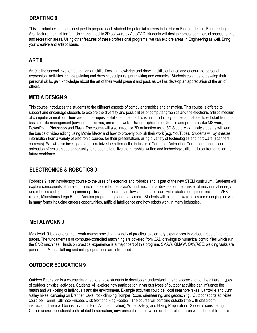## **DRAFTING 9**

This introductory course is designed to prepare each student for potential careers in Interior or Exterior design, Engineering or Architecture – or just for fun. Using the latest in 3D software by AutoCAD, students will design homes, commercial spaces, parks and recreation areas. Using other features of these professional programs, we can explore areas in Engineering as well. Bring your creative and artistic ideas.

# **ART 9**

Art 9 is the second level of foundation art skills. Design knowledge and drawing skills enhance and encourage personal expression. Activities include painting and drawing, sculpture, printmaking and ceramics. Students continue to develop their personal skills, gain knowledge about the art of their world present and past, as well as develop an appreciation of the art of others.

#### **MEDIA DESIGN 9**

This course introduces the students to the different aspects of computer graphics and animation. This course is offered to support and encourage students to explore the diversity and possibilities of computer graphics and the electronic artistic medium of computer animation. There are no pre-requisite skills required as this is an introductory course and students will start from the basics of file management (saving, flash drives, email and web). Using graphics from Google and programs like MS word, PowerPoint, Photoshop and Flash. The course will also introduce 3D Animation using 3D Studio Max. Lastly students will learn the basics of video editing using Movie Maker and how to properly publish their work (e.g. YouTube). Students will synthesize information from a variety of electronic sources for their presentations using a variety of technologies and hardware (scanners, cameras). We will also investigate and scrutinize the billion-dollar industry of Computer Animation. Computer graphics and animation offers a unique opportunity for students to utilize their graphic, written and technology skills – all requirements for the future workforce.

# **ELECTRONICS & ROBOTICS 9**

Robotics 9 is an introductory course to the uses of electronics and robotics and is part of the new STEM curriculum. Students will explore components of an electric circuit, basic robot behavior's, and mechanical devices for the transfer of mechanical energy, and robotics coding and programming. This hands-on course allows students to learn with robotics equipment including VEX robots, Mindstorms Lego Robot, Arduino programming and many more. Students will explore how robotics are changing our world in many forms including careers opportunities, artificial intelligence and how robots work in many industries.

#### **METALWORK 9**

Metalwork 9 is a general metalwork course providing a variety of practical exploratory experiences in various areas of the metal trades. The fundamentals of computer-controlled machining are covered from CAD drawings to numerical control files which run the CNC machines. Hands on practical experience is a major part of this program. SMAW, GMAW, OXY/ACE, welding tasks are performed. Manual lathing and milling operations are introduced.

#### **OUTDOOR EDUCATION 9**

Outdoor Education is a course designed to enable students to develop an understanding and appreciation of the different types of outdoor physical activities. Students will explore how participation in various types of outdoor activities can influence the health and well-being of individuals and the environment. Example activities could be: local seashore hikes, Lantzville and Lynn Valley hikes, canoeing on Brannen Lake, rock climbing Romper Room, orienteering, and geocaching. Outdoor sports activities could be: Tennis, Ultimate Frisbee, Disk Golf and Flag Football. The course will combine outside time with classroom instruction. There will be instruction in First Aid (certification), Water Safety, and Hiking Preparation. Students considering a Career and/or educational path related to recreation, environmental conservation or other related area would benefit from this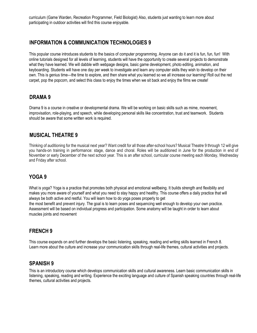curriculum (Game Warden, Recreation Programmer, Field Biologist) Also, students just wanting to learn more about participating in outdoor activities will find this course enjoyable.

#### **INFORMATION & COMMUNICATION TECHNOLOGIES 9**

This popular course introduces students to the basics of computer programming. Anyone can do it and it is fun, fun, fun! With online tutorials designed for all levels of learning, students will have the opportunity to create several projects to demonstrate what they have learned. We will dabble with webpage designs, basic game development, photo editing, animation, and keyboarding. Students will have one day per week to investigate and learn any computer skills they wish to develop on their own. This is genius time—the time to explore, and then share what you learned so we all increase our learning! Roll out the red carpet, pop the popcorn, and select this class to enjoy the times when we sit back and enjoy the films we create!

#### **DRAMA 9**

Drama 9 is a course in creative or developmental drama. We will be working on basic skills such as mime, movement, improvisation, role-playing, and speech, while developing personal skills like concentration, trust and teamwork. Students should be aware that some written work is required.

#### **MUSICAL THEATRE 9**

Thinking of auditioning for the musical next year? Want credit for all those after-school hours? Musical Theatre 9 through 12 will give you hands-on training in performance: stage, dance and choral. Roles will be auditioned in June for the production in end of November or early December of the next school year. This is an after school, curricular course meeting each Monday, Wednesday and Friday after school.

#### **YOGA 9**

What is yoga? Yoga is a practice that promotes both physical and emotional wellbeing. It builds strength and flexibility and makes you more aware of yourself and what you need to stay happy and healthy. This course offers a daily practice that will always be both active and restful. You will learn how to do yoga poses properly to get the most benefit and prevent injury. The goal is to learn poses and sequencing well enough to develop your own practice. Assessment will be based on individual progress and participation. Some anatomy will be taught in order to learn about

**FRENCH 9** 

muscles joints and movement

This course expands on and further develops the basic listening, speaking, reading and writing skills learned in French 8. Learn more about the culture and increase your communication skills through real-life themes, cultural activities and projects.

#### **SPANISH 9**

This is an introductory course which develops communication skills and cultural awareness. Learn basic communication skills in listening, speaking, reading and writing. Experience the exciting language and culture of Spanish speaking countries through real-life themes, cultural activities and projects.